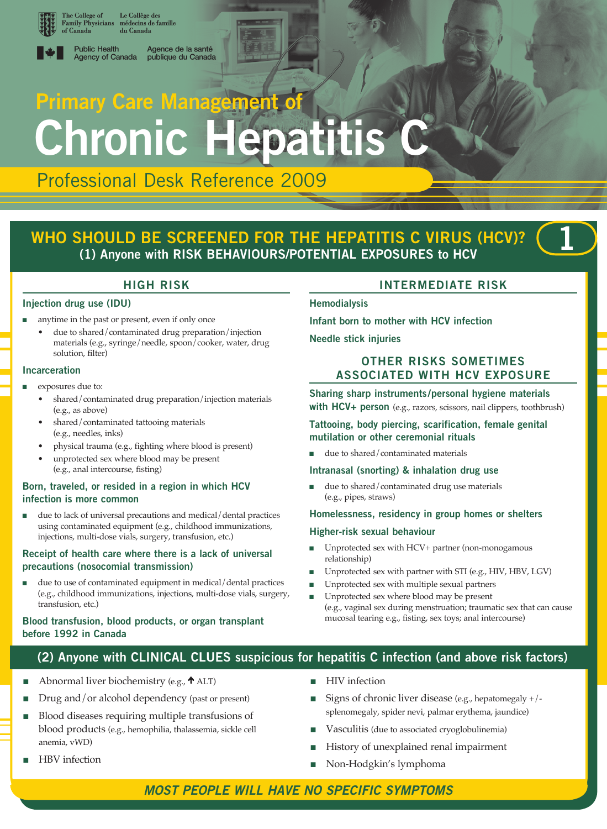

The College of<br>Family Physicians Le Collège des<br>médecins de famille du Canada



**Public Health** Agence de la santé Agency of Canada publique du Canada

# **Primary Care Management of Chronic Hepatitis**

Professional Desk Reference 2009

# **WHO SHOULD BE SCREENED FOR THE HEPATITIS C VIRUS (HCV)? (1) Anyone with RISK BEHAVIOURS/POTENTIAL EXPOSURES to HCV**



## **Injection drug use (IDU)**

- anytime in the past or present, even if only once
	- due to shared/contaminated drug preparation/injection materials (e.g., syringe/needle, spoon/cooker, water, drug solution, filter)

#### **Incarceration**

- exposures due to:
	- shared/contaminated drug preparation/injection materials (e.g., as above)
	- shared/contaminated tattooing materials (e.g., needles, inks)
	- physical trauma (e.g., fighting where blood is present)
	- unprotected sex where blood may be present (e.g., anal intercourse, fisting)

## **Born, traveled, or resided in a region in which HCV infection is more common**

due to lack of universal precautions and medical/dental practices using contaminated equipment (e.g., childhood immunizations, injections, multi-dose vials, surgery, transfusion, etc.)

## **Receipt of health care where there is a lack of universal precautions (nosocomial transmission)**

due to use of contaminated equipment in medical/dental practices (e.g., childhood immunizations, injections, multi-dose vials, surgery, transfusion, etc.)

## **Blood transfusion, blood products, or organ transplant before 1992 in Canada**

## **Intermediate Risk**

## **Hemodialysis**

**Infant born to mother with HCV infection**

**Needle stick injuries**

## **Other Risks Sometimes Associated With HCV EXPOSURE**

**Sharing sharp instruments/personal hygiene materials with HCV+ person** (e.g., razors, scissors, nail clippers, toothbrush)

## **Tattooing, body piercing, scarification, female genital mutilation or other ceremonial rituals**

due to shared/contaminated materials

## **Intranasal (snorting) & inhalation drug use**

due to shared/contaminated drug use materials (e.g., pipes, straws)

#### **Homelessness, residency in group homes or shelters**

#### **Higher-risk sexual behaviour**

- Unprotected sex with HCV+ partner (non-monogamous relationship)
- Unprotected sex with partner with STI (e.g., HIV, HBV, LGV)
- <sup>n</sup> Unprotected sex with multiple sexual partners
- <sup>n</sup> Unprotected sex where blood may be present (e.g., vaginal sex during menstruation; traumatic sex that can cause mucosal tearing e.g., fisting, sex toys; anal intercourse)

## **(2) Anyone with CLINICAL CLUES suspicious for hepatitis C infection (and above risk factors)**

- Abnormal liver biochemistry (e.g.,  $\uparrow$  ALT)
- Drug and/or alcohol dependency (past or present)
- <sup>n</sup> Blood diseases requiring multiple transfusions of blood products (e.g., hemophilia, thalassemia, sickle cell anemia, vWD)
- HBV infection
- **n** HIV infection
- Signs of chronic liver disease (e.g., hepatomegaly  $+/$ splenomegaly, spider nevi, palmar erythema, jaundice)
- Vasculitis (due to associated cryoglobulinemia)
- History of unexplained renal impairment
- Non-Hodgkin's lymphoma

## *Most people will have no specific symptoms*

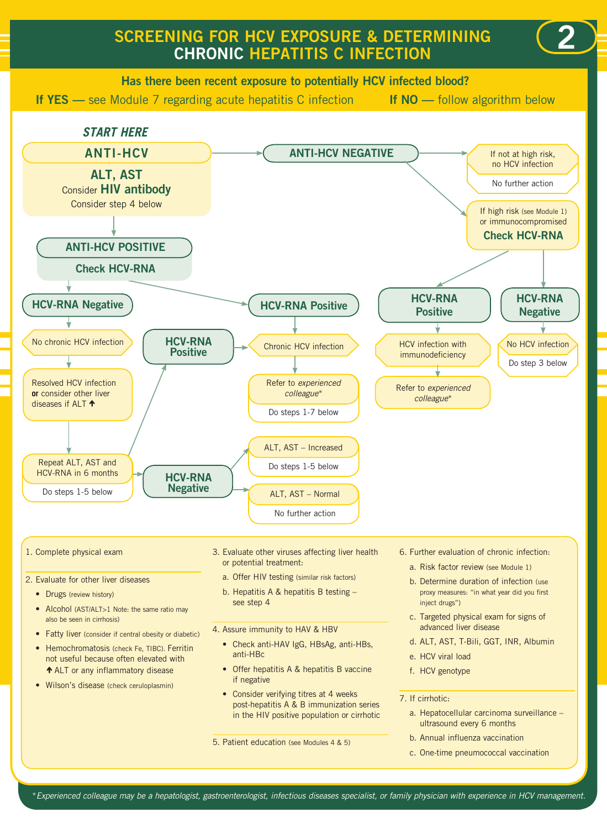# **Screening for HCV exposure & determining chronic Hepatitis C infection**





#### 1. Complete physical exam

- 2. Evaluate for other liver diseases
	- Drugs (review history)
	- Alcohol (AST/ALT>1 Note: the same ratio may also be seen in cirrhosis)
	- Fatty liver (consider if central obesity or diabetic)
	- Hemochromatosis (check Fe, TIBC). Ferritin not useful because often elevated with  $\uparrow$  **ALT** or any inflammatory disease
	- Wilson's disease (check ceruloplasmin)
- 3. Evaluate other viruses affecting liver health or potential treatment:
	- a. Offer HIV testing (similar risk factors)
	- b. Hepatitis A & hepatitis B testing see step 4
- 4. Assure immunity to HAV & HBV
	- Check anti-HAV IgG, HBsAg, anti-HBs, anti-HBc
	- Offer hepatitis A & hepatitis B vaccine if negative
	- Consider verifying titres at 4 weeks post-hepatitis A & B immunization series in the HIV positive population or cirrhotic

5. Patient education (see Modules 4 & 5)

6. Further evaluation of chronic infection:

**2**

- a. Risk factor review (see Module 1)
- b. Determine duration of infection (use proxy measures: "in what year did you first inject drugs")
- c. Targeted physical exam for signs of advanced liver disease
- d. ALT, AST, T-Bili, GGT, INR, Albumin
- e. HCV viral load
- f. HCV genotype
- 7. If cirrhotic:
	- a. Hepatocellular carcinoma surveillance ultrasound every 6 months
	- b. Annual influenza vaccination
	- c. One-time pneumococcal vaccination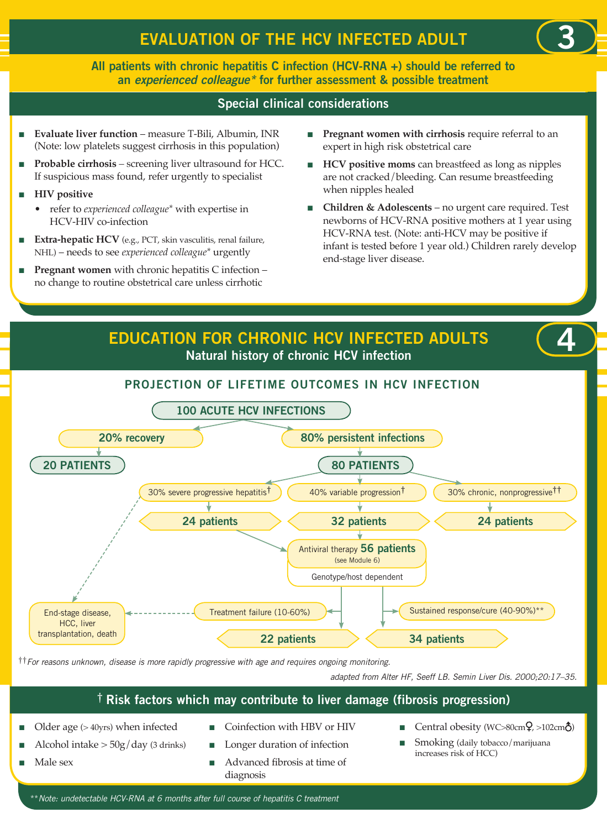**All patients with chronic hepatitis C infection (HCV-RNA +) should be referred to an** *experienced colleague\** **for further assessment & possible treatment**

## **Special clinical considerations**

- **Evaluate liver function** measure T-Bili, Albumin, INR (Note: low platelets suggest cirrhosis in this population)
- **Probable cirrhosis** screening liver ultrasound for HCC. If suspicious mass found, refer urgently to specialist
- **n** HIV positive
	- refer to *experienced colleague\** with expertise in HCV-HIV co-infection
- **Extra-hepatic HCV** (e.g., PCT, skin vasculitis, renal failure, NHL) – needs to see *experienced colleague\** urgently
- **Pregnant women** with chronic hepatitis C infection no change to routine obstetrical care unless cirrhotic

**n Pregnant women with cirrhosis** require referral to an expert in high risk obstetrical care

**3**

- **HCV** positive moms can breastfeed as long as nipples are not cracked/bleeding. Can resume breastfeeding when nipples healed
- <sup>n</sup> **Children & Adolescents** no urgent care required. Test newborns of HCV-RNA positive mothers at 1 year using HCV-RNA test. (Note: anti-HCV may be positive if infant is tested before 1 year old.) Children rarely develop end-stage liver disease.



††*For reasons unknown, disease is more rapidly progressive with age and requires ongoing monitoring.*

*adapted from Alter HF, Seeff LB. Semin Liver Dis. 2000;20:17–35.*

## **† Risk factors which may contribute to liver damage (fibrosis progression)**

- Older age  $(>40$ yrs) when infected
- Alcohol intake  $>$  50g/day (3 drinks)
- Male sex
- Coinfection with HBV or HIV
- Longer duration of infection
- <sup>n</sup> Advanced fibrosis at time of diagnosis
- Central obesity (WC>80cm $\Omega$ , >102cm $\hat{\Omega}$ )
- Smoking (daily tobacco/marijuana increases risk of HCC)

\*\**Note: undetectable HCV-RNA at 6 months after full course of hepatitis C treatment*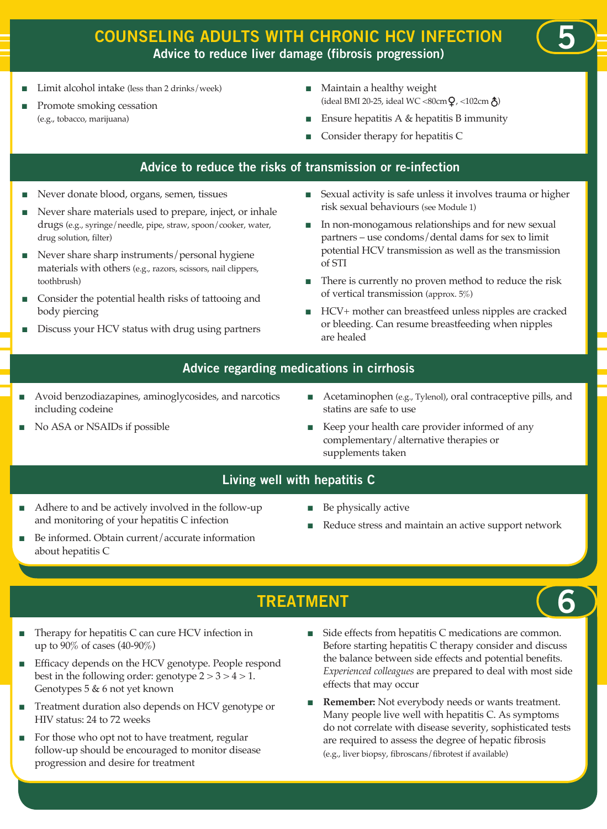## **COUNSELING ADULTS WITH CHRONIC HCV INFECTION Advice to reduce liver damage (fibrosis progression)**

- Limit alcohol intake (less than 2 drinks/week)
- Promote smoking cessation (e.g., tobacco, marijuana)
- Maintain a healthy weight (ideal BMI 20-25, ideal WC <80cm  $Q$ , <102cm  $\hat{Q}$ )
- Ensure hepatitis A & hepatitis B immunity
- Consider therapy for hepatitis C

## **Advice to reduce the risks of transmission or re-infection**

- <sup>n</sup> Never donate blood, organs, semen, tissues
- Never share materials used to prepare, inject, or inhale drugs (e.g., syringe/needle, pipe, straw, spoon/cooker, water, drug solution, filter)
- <sup>n</sup> Never share sharp instruments/personal hygiene materials with others (e.g., razors, scissors, nail clippers, toothbrush)
- Consider the potential health risks of tattooing and body piercing
- Discuss your HCV status with drug using partners
- <sup>n</sup> Sexual activity is safe unless it involves trauma or higher risk sexual behaviours (see Module 1)
- <sup>n</sup> In non-monogamous relationships and for new sexual partners – use condoms/dental dams for sex to limit potential HCV transmission as well as the transmission of STI
- <sup>n</sup> There is currently no proven method to reduce the risk of vertical transmission (approx. 5%)
- <sup>n</sup> HCV+ mother can breastfeed unless nipples are cracked or bleeding. Can resume breastfeeding when nipples are healed

## **Advice regarding medications in cirrhosis**

- Avoid benzodiazapines, aminoglycosides, and narcotics including codeine
- No ASA or NSAIDs if possible
- Acetaminophen (e.g., Tylenol), oral contraceptive pills, and statins are safe to use
- Keep your health care provider informed of any complementary/alternative therapies or supplements taken

## **Living well with hepatitis C**

- Adhere to and be actively involved in the follow-up and monitoring of your hepatitis C infection
- Be informed. Obtain current/accurate information about hepatitis C
- Be physically active
- Reduce stress and maintain an active support network
- **Treatment**
- Therapy for hepatitis C can cure HCV infection in up to 90% of cases (40-90%)
- <sup>n</sup> Efficacy depends on the HCV genotype. People respond best in the following order: genotype  $2 > 3 > 4 > 1$ . Genotypes 5 & 6 not yet known
- <sup>n</sup> Treatment duration also depends on HCV genotype or HIV status: 24 to 72 weeks
- For those who opt not to have treatment, regular follow-up should be encouraged to monitor disease progression and desire for treatment
- Side effects from hepatitis C medications are common. Before starting hepatitis C therapy consider and discuss the balance between side effects and potential benefits. *Experienced colleagues* are prepared to deal with most side effects that may occur
- **Remember:** Not everybody needs or wants treatment. Many people live well with hepatitis C. As symptoms do not correlate with disease severity, sophisticated tests are required to assess the degree of hepatic fibrosis (e.g., liver biopsy, fibroscans/fibrotest if available)

**6**

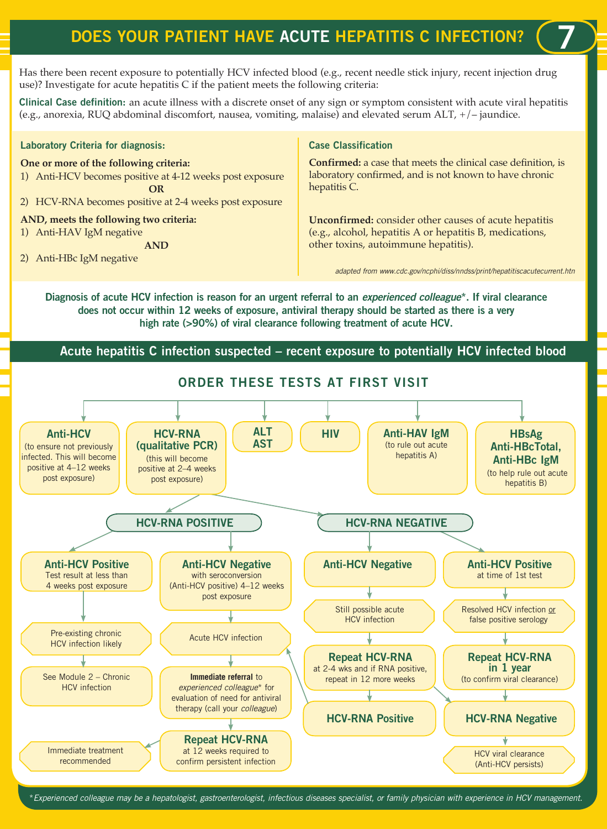# **DOES YOUR PATIENT HAVE ACUTE HEPATITIS C INFECTION?**

Has there been recent exposure to potentially HCV infected blood (e.g., recent needle stick injury, recent injection drug use)? Investigate for acute hepatitis C if the patient meets the following criteria:

**Clinical Case definition:** an acute illness with a discrete onset of any sign or symptom consistent with acute viral hepatitis (e.g., anorexia, RUQ abdominal discomfort, nausea, vomiting, malaise) and elevated serum ALT, +/– jaundice.

#### **Laboratory Criteria for diagnosis:**

#### **One or more of the following criteria:**

- 1) Anti-HCV becomes positive at 4-12 weeks post exposure **OR**
- 2) HCV-RNA becomes positive at 2-4 weeks post exposure

#### **AND, meets the following two criteria:**

1) Anti-HAV IgM negative

**AND**

2) Anti-HBc IgM negative

#### **Case Classification**

**Confirmed:** a case that meets the clinical case definition, is laboratory confirmed, and is not known to have chronic hepatitis C.

**Unconfirmed:** consider other causes of acute hepatitis (e.g., alcohol, hepatitis A or hepatitis B, medications, other toxins, autoimmune hepatitis).

*adapted from www.cdc.gov/ncphi/diss/nndss/print/hepatitiscacutecurrent.htn*

**7**

**Diagnosis of acute HCV infection is reason for an urgent referral to an** *experienced colleague***\*. If viral clearance does not occur within 12 weeks of exposure, antiviral therapy should be started as there is a very high rate (>90%) of viral clearance following treatment of acute HCV.**

## **Acute hepatitis C infection suspected – recent exposure to potentially HCV infected blood**



\**Experienced colleague may be a hepatologist, gastroenterologist, infectious diseases specialist, or family physician with experience in HCV management.*